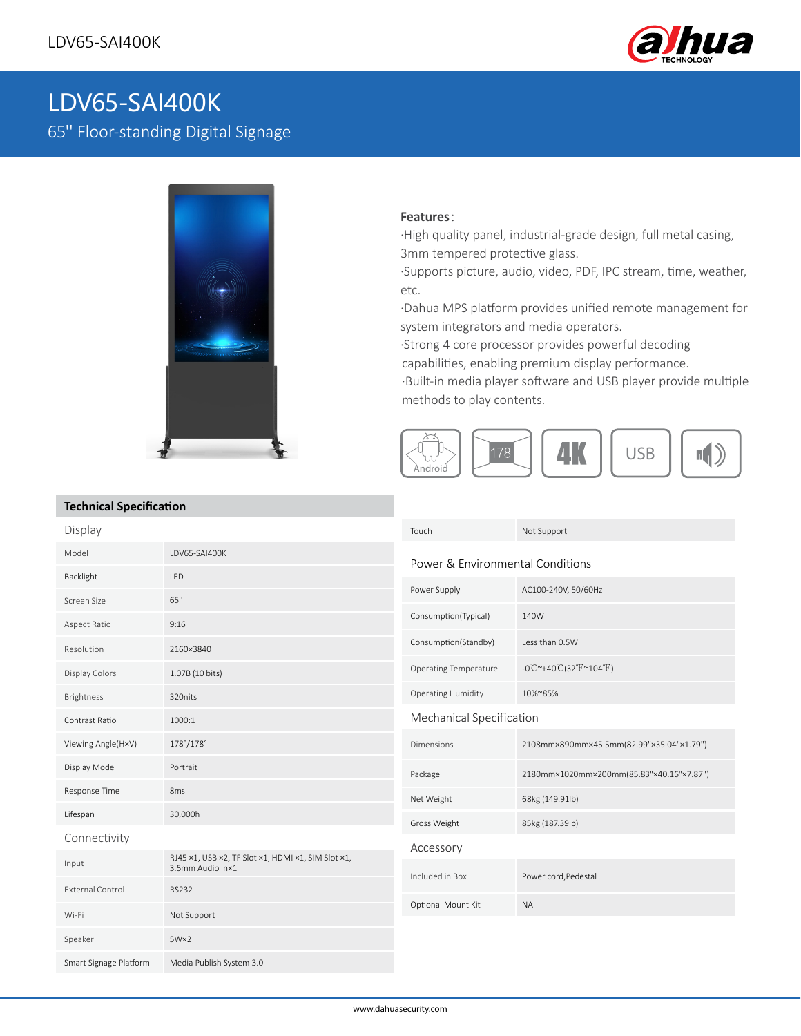

# LDV65-SAI400K

65'' Floor-standing Digital Signage



### **Features**:

·High quality panel, industrial-grade design, full metal casing, 3mm tempered protective glass.

·Supports picture, audio, video, PDF, IPC stream, time, weather, etc.

·Dahua MPS platform provides unified remote management for system integrators and media operators.

·Strong 4 core processor provides powerful decoding

capabilities, enabling premium display performance.

·Built-in media player software and USB player provide multiple methods to play contents.



## **Technical Specification**

| ICUIIIIUUI JPLUIIIUUIUII |                                                                        |                                  |                                                  |
|--------------------------|------------------------------------------------------------------------|----------------------------------|--------------------------------------------------|
| Display                  |                                                                        | Touch                            | Not Support                                      |
| Model                    | LDV65-SAI400K                                                          | Power & Environmental Conditions |                                                  |
| Backlight                | LED                                                                    |                                  |                                                  |
| Screen Size              | 65"                                                                    | Power Supply                     | AC100-240V, 50/60Hz                              |
| Aspect Ratio             | 9:16                                                                   | Consumption(Typical)             | 140W                                             |
| Resolution               | 2160×3840                                                              | Consumption(Standby)             | Less than 0.5W                                   |
| Display Colors           | 1.07B (10 bits)                                                        | <b>Operating Temperature</b>     | $-0C^{\sim}+40C(32^{\circ}F^{\sim}104^{\circ}F)$ |
| Brightness               | 320nits                                                                | <b>Operating Humidity</b>        | 10%~85%                                          |
| Contrast Ratio           | 1000:1                                                                 | Mechanical Specification         |                                                  |
| Viewing Angle(HxV)       | 178°/178°                                                              | Dimensions                       | 2108mm×890mm×45.5mm(82.99"×35.04"×1.79")         |
| Display Mode             | Portrait                                                               | Package                          | 2180mm×1020mm×200mm(85.83"×40.16"×7.87")         |
| Response Time            | 8 <sub>ms</sub>                                                        | Net Weight                       | 68kg (149.91lb)                                  |
| Lifespan                 | 30,000h                                                                | Gross Weight                     | 85kg (187.39lb)                                  |
| Connectivity             |                                                                        | Accessory                        |                                                  |
| Input                    | RJ45 x1, USB x2, TF Slot x1, HDMI x1, SIM Slot x1,<br>3.5mm Audio In×1 |                                  |                                                  |
| <b>External Control</b>  | <b>RS232</b>                                                           | Included in Box                  | Power cord, Pedestal                             |
| Wi-Fi                    | Not Support                                                            | Optional Mount Kit               | <b>NA</b>                                        |
| Speaker                  | $5W\times2$                                                            |                                  |                                                  |
| Smart Signage Platform   | Media Publish System 3.0                                               |                                  |                                                  |